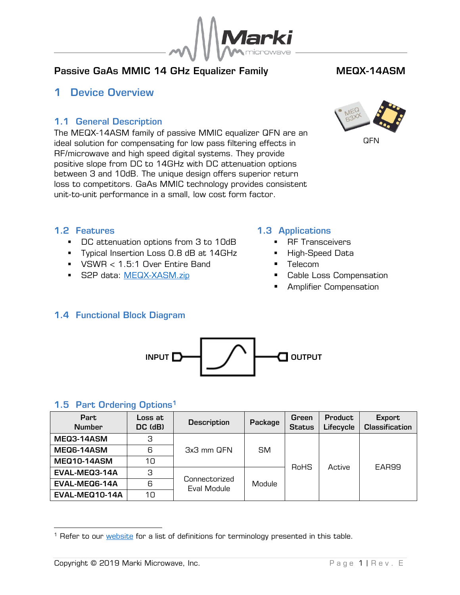

# Passive GaAs MMIC 14 GHz Equalizer Family MEQX-14ASM

# <span id="page-0-0"></span>1 Device Overview

## <span id="page-0-1"></span>1.1 General Description

The MEQX-14ASM family of passive MMIC equalizer QFN are an ideal solution for compensating for low pass filtering effects in RF/microwave and high speed digital systems. They provide positive slope from DC to 14GHz with DC attenuation options between 3 and 10dB. The unique design offers superior return loss to competitors. GaAs MMIC technology provides consistent unit-to-unit performance in a small, low cost form factor.



**QFN** 

#### <span id="page-0-2"></span>1.2 Features

- DC attenuation options from 3 to 10dB
- **·** Typical Insertion Loss 0.8 dB at 14GHz
- VSWR < 1.5:1 Over Entire Band
- **S2P data: [MEQX-XASM.zip](file://///mmw-vfile1/Assets/data/MEQX-XASM.zip)**

#### <span id="page-0-3"></span>1.3 Applications

- RF Transceivers
- High-Speed Data
- Telecom
- Cable Loss Compensation
- Amplifier Compensation

## <span id="page-0-4"></span>1.4 Functional Block Diagram



#### <span id="page-0-5"></span>1.5 Part Ordering Options<sup>1</sup>

| Part<br><b>Number</b> | Loss at<br>DC (dB) | <b>Description</b>           | Package | Green<br><b>Status</b> | <b>Product</b><br>Lifecycle | Export<br><b>Classification</b> |
|-----------------------|--------------------|------------------------------|---------|------------------------|-----------------------------|---------------------------------|
| MEQ3-14ASM            | З                  |                              |         |                        |                             |                                 |
| MEQ6-14ASM            | 6                  | 3x3 mm QFN                   | SM.     | RoHS                   | Active                      | EAR99                           |
| <b>MEQ10-14ASM</b>    | 10                 |                              |         |                        |                             |                                 |
| EVAL-MEQ3-14A         | З                  |                              | Module  |                        |                             |                                 |
| EVAL-MEQ6-14A         | 6                  | Connectorized<br>Eval Module |         |                        |                             |                                 |
| EVAL-MEQ10-14A        | 10                 |                              |         |                        |                             |                                 |

-

<sup>&</sup>lt;sup>1</sup> Refer to our **website** for a list of definitions for terminology presented in this table.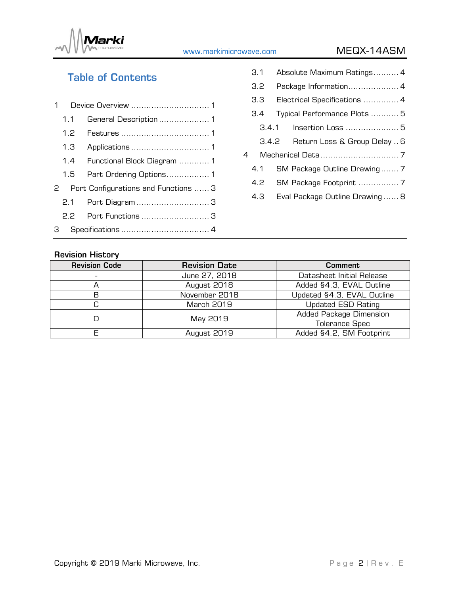

# [www.markimicrowave.com](http://www.markimicrowae.com/) MEQX-14ASM

# Table of Contents

| 1 |     |                                      |
|---|-----|--------------------------------------|
|   | 1.1 | General Description  1               |
|   | 1.2 |                                      |
|   | 1.3 |                                      |
|   |     | 1.4 Functional Block Diagram  1      |
|   | 1.5 | Part Ordering Options 1              |
|   | 2   | Port Configurations and Functions  3 |
|   |     |                                      |
|   |     | 2.2 Port Functions 3                 |
| 3 |     |                                      |

|   | 3.1   | Absolute Maximum Ratings 4      |  |  |
|---|-------|---------------------------------|--|--|
|   | 3.2   |                                 |  |  |
|   | 3.3   | Electrical Specifications  4    |  |  |
|   | 3.4   | Typical Performance Plots  5    |  |  |
|   | 3.4.1 |                                 |  |  |
|   | 3.4.2 | Return Loss & Group Delay  6    |  |  |
| 4 |       |                                 |  |  |
|   | 4.1   | SM Package Outline Drawing 7    |  |  |
|   | 4.2   |                                 |  |  |
|   | 4.3   | Eval Package Outline Drawing  8 |  |  |
|   |       |                                 |  |  |

#### Revision History

| <b>Revision Code</b><br><b>Revision Date</b> |                                         | <b>Comment</b>             |
|----------------------------------------------|-----------------------------------------|----------------------------|
|                                              | June 27, 2018                           | Datasheet Initial Release  |
|                                              | August 2018                             | Added §4.3, EVAL Outline   |
| В                                            | November 2018                           | Updated §4.3, EVAL Outline |
|                                              | March 2019                              | <b>Updated ESD Rating</b>  |
|                                              | May 2019                                | Added Package Dimension    |
|                                              |                                         | <b>Tolerance Spec</b>      |
|                                              | Added §4.2, SM Footprint<br>August 2019 |                            |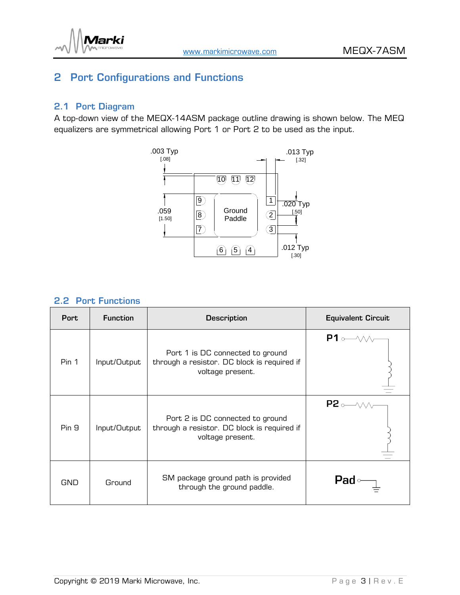

# <span id="page-2-0"></span>2 Port Configurations and Functions

## <span id="page-2-1"></span>2.1 Port Diagram

A top-down view of the MEQX-14ASM package outline drawing is shown below. The MEQ equalizers are symmetrical allowing Port 1 or Port 2 to be used as the input.



#### <span id="page-2-2"></span>2.2 Port Functions

| <b>Port</b> | <b>Function</b> | <b>Description</b>                                                                                  | <b>Equivalent Circuit</b> |
|-------------|-----------------|-----------------------------------------------------------------------------------------------------|---------------------------|
| Pin 1       | Input/Output    | Port 1 is DC connected to ground<br>through a resistor. DC block is required if<br>voltage present. | $P1$ of $\sim$            |
| Pin 9       | Input/Output    | Port 2 is DC connected to ground<br>through a resistor. DC block is required if<br>voltage present. | $P2 \rightarrow \sim$     |
| <b>GND</b>  | Ground          | SM package ground path is provided<br>through the ground paddle.                                    | <b>Pad</b>                |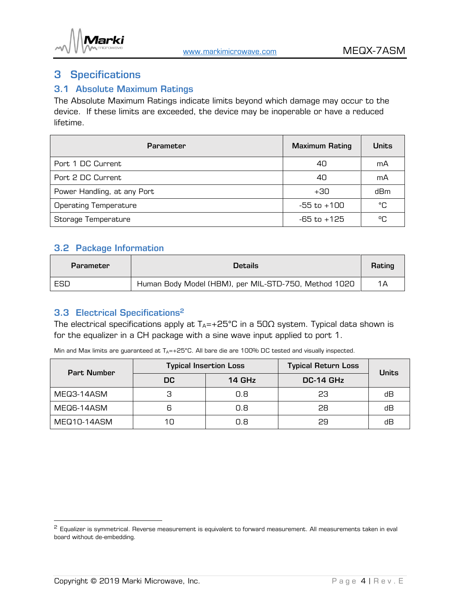

# <span id="page-3-0"></span>3 Specifications

#### <span id="page-3-1"></span>3.1 Absolute Maximum Ratings

The Absolute Maximum Ratings indicate limits beyond which damage may occur to the device. If these limits are exceeded, the device may be inoperable or have a reduced lifetime.

| <b>Parameter</b>             | <b>Maximum Rating</b> | <b>Units</b> |
|------------------------------|-----------------------|--------------|
| Port 1 DC Current            | 40                    | mA           |
| Port 2 DC Current            | 40                    | mA           |
| Power Handling, at any Port  | +30                   | dBm          |
| <b>Operating Temperature</b> | $-55$ to $+100$       | °C           |
| Storage Temperature          | -65 to +125           | °C           |

#### <span id="page-3-2"></span>3.2 Package Information

| Parameter | Details                                              |     |
|-----------|------------------------------------------------------|-----|
| ESD       | Human Body Model (HBM), per MIL-STD-750, Method 1020 | 1 A |

# <span id="page-3-3"></span>3.3 Electrical Specifications 2

The electrical specifications apply at  $T_A=+25^{\circ}$ C in a 50 $\Omega$  system. Typical data shown is for the equalizer in a CH package with a sine wave input applied to port 1.

Min and Max limits are guaranteed at  $T_A$ =+25°C. All bare die are 100% DC tested and visually inspected.

| <b>Part Number</b> |     | <b>Typical Insertion Loss</b> | <b>Typical Return Loss</b> | <b>Units</b> |  |
|--------------------|-----|-------------------------------|----------------------------|--------------|--|
|                    | DC  | 14 GHz                        | DC-14 GHz                  |              |  |
| MEQ3-14ASM         |     | 0.8                           | 23                         | dВ           |  |
| MEQ6-14ASM         | ട   | 0.8                           | 28                         | dВ           |  |
| MEQ10-14ASM        | 1 ୮ | 0.8                           | 29                         | dВ           |  |

-

<sup>&</sup>lt;sup>2</sup> Equalizer is symmetrical. Reverse measurement is equivalent to forward measurement. All measurements taken in eval board without de-embedding.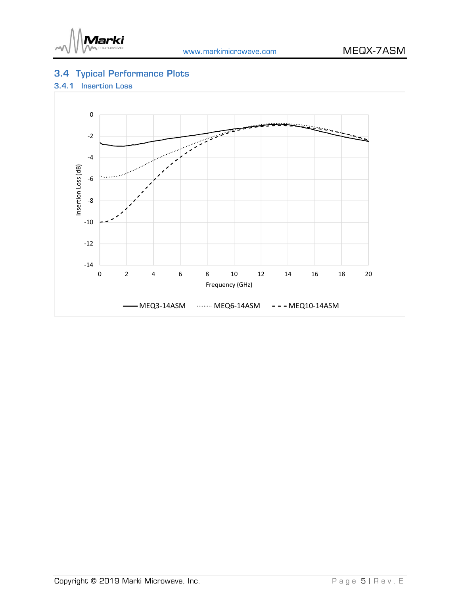

# <span id="page-4-0"></span>3.4 Typical Performance Plots

#### <span id="page-4-1"></span>3.4.1 Insertion Loss

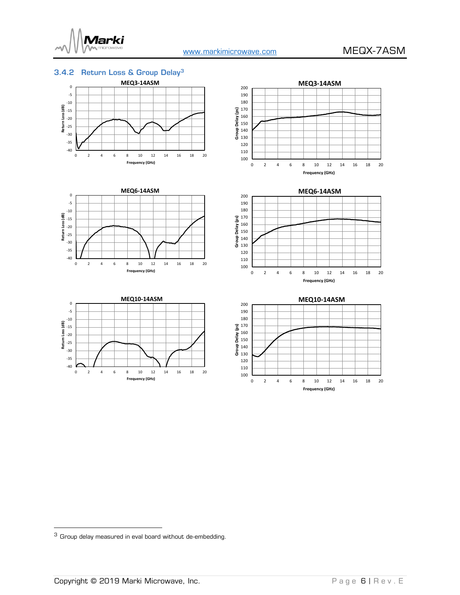

#### <span id="page-5-0"></span>3.4.2 Return Loss & Group Delay<sup>3</sup>















<sup>3</sup> Group delay measured in eval board without de-embedding.

-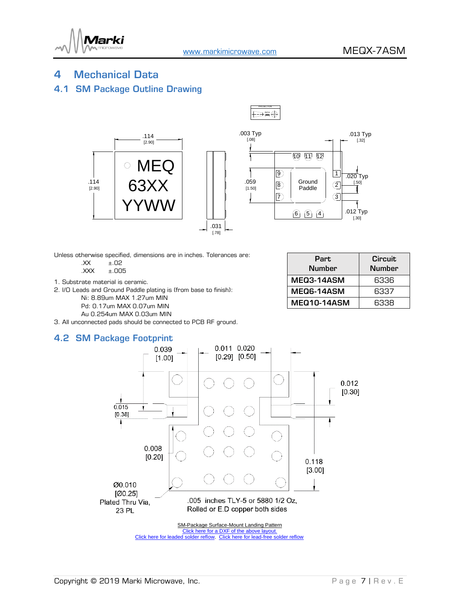

PROJECTION

### <span id="page-6-0"></span>4 Mechanical Data

#### <span id="page-6-1"></span>4.1 SM Package Outline Drawing



Unless otherwise specified, dimensions are in inches. Tolerances are:

- .XX ±.02 .XXX ±.005
- 1. Substrate material is ceramic.
- 2. I/O Leads and Ground Paddle plating is (from base to finish):
	- Ni: 8.89um MAX 1.27um MIN
	- Pd: 0.17um MAX 0.07um MIN
	- Au 0.254um MAX 0.03um MIN
- 3. All unconnected pads should be connected to PCB RF ground.

#### <span id="page-6-2"></span>4.2 SM Package Footprint

| Part<br><b>Number</b> | <b>Circuit</b><br><b>Number</b> |  |
|-----------------------|---------------------------------|--|
| MEQ3-14ASM            | 6336                            |  |
| MEQ6-14ASM            | 6337                            |  |
| <b>MEQ10-14ASM</b>    | 6338                            |  |